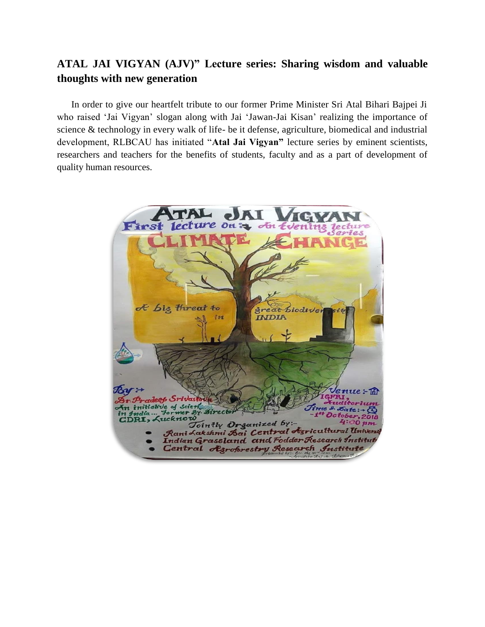# **ATAL JAI VIGYAN (AJV)" Lecture series: Sharing wisdom and valuable thoughts with new generation**

In order to give our heartfelt tribute to our former Prime Minister Sri Atal Bihari Bajpei Ji who raised 'Jai Vigyan' slogan along with Jai 'Jawan-Jai Kisan' realizing the importance of science & technology in every walk of life- be it defense, agriculture, biomedical and industrial development, RLBCAU has initiated "**Atal Jai Vigyan"** lecture series by eminent scientists, researchers and teachers for the benefits of students, faculty and as a part of development of quality human resources.

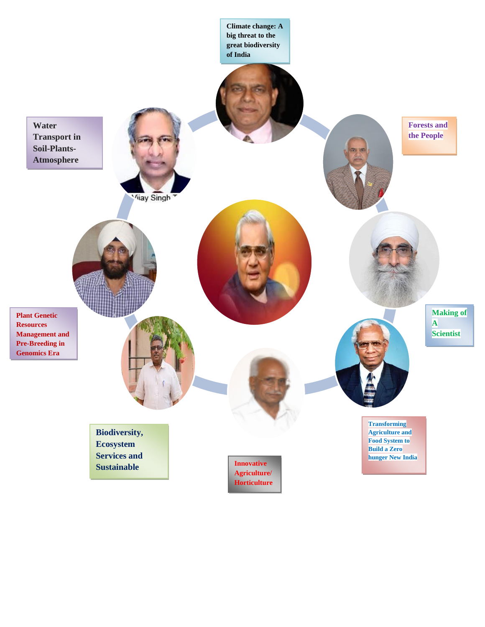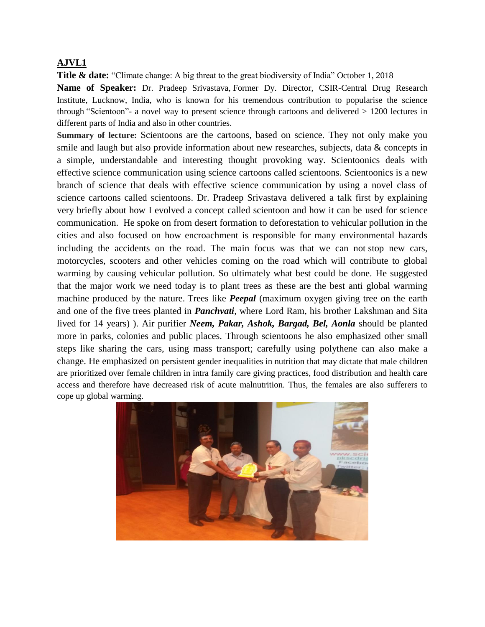## **AJVL1**

**Title & date:** "Climate change: A big threat to the great biodiversity of India" October 1, 2018

**Name of Speaker:** Dr. Pradeep Srivastava, Former Dy. Director, CSIR-Central Drug Research Institute, Lucknow, India, who is known for his tremendous contribution to popularise the science through "Scientoon"- a novel way to present science through cartoons and delivered > 1200 lectures in different parts of India and also in other countries.

**Summary of lecture:** Scientoons are the cartoons, based on science. They not only make you smile and laugh but also provide information about new researches, subjects, data & concepts in a simple, understandable and interesting thought provoking way. Scientoonics deals with effective science communication using science cartoons called scientoons. Scientoonics is a new branch of science that deals with effective science communication by using a novel class of science cartoons called scientoons. Dr. Pradeep Srivastava delivered a talk first by explaining very briefly about how I evolved a concept called scientoon and how it can be used for science communication. He spoke on from desert formation to deforestation to vehicular pollution in the cities and also focused on how encroachment is responsible for many environmental hazards including the accidents on the road. The main focus was that we can not stop new cars, motorcycles, scooters and other vehicles coming on the road which will contribute to global warming by causing vehicular pollution. So ultimately what best could be done. He suggested that the major work we need today is to plant trees as these are the best anti global warming machine produced by the nature. Trees like *Peepal* (maximum oxygen giving tree on the earth and one of the five trees planted in *Panchvati*, where Lord Ram, his brother Lakshman and Sita lived for 14 years) ). Air purifier *Neem, Pakar, Ashok, Bargad, Bel, Aonla* should be planted more in parks, colonies and public places. Through scientoons he also emphasized other small steps like sharing the cars, using mass transport; carefully using polythene can also make a change. He emphasized on persistent gender inequalities in nutrition that may dictate that male children are prioritized over female children in intra family care giving practices, food distribution and health care access and therefore have decreased risk of acute malnutrition. Thus, the females are also sufferers to cope up global warming.

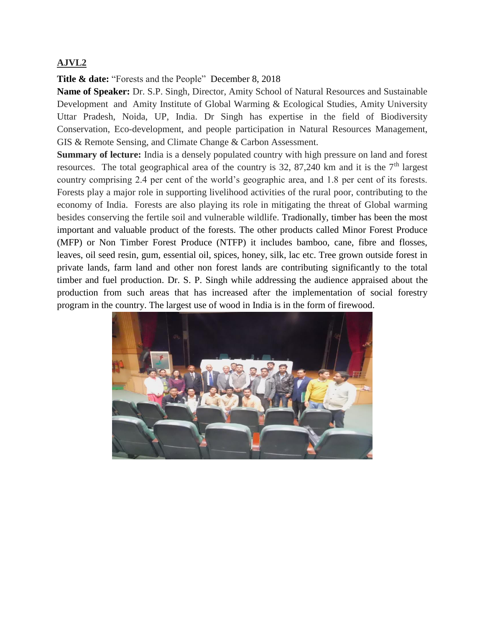## **AJVL2**

**Title & date:** "Forests and the People" December 8, 2018

**Name of Speaker:** Dr. S.P. Singh, Director, Amity School of Natural Resources and Sustainable Development and Amity Institute of Global Warming & Ecological Studies, Amity University Uttar Pradesh, Noida, UP, India. Dr Singh has expertise in the field of Biodiversity Conservation, Eco-development, and people participation in Natural Resources Management, GIS & Remote Sensing, and Climate Change & Carbon Assessment.

**Summary of lecture:** India is a densely populated country with high pressure on land and forest resources. The total geographical area of the country is 32, 87,240 km and it is the  $7<sup>th</sup>$  largest country comprising 2.4 per cent of the world's geographic area, and 1.8 per cent of its forests. Forests play a major role in supporting livelihood activities of the rural poor, contributing to the economy of India. Forests are also playing its role in mitigating the threat of Global warming besides conserving the fertile soil and vulnerable wildlife. Tradionally, timber has been the most important and valuable product of the forests. The other products called Minor Forest Produce (MFP) or Non Timber Forest Produce (NTFP) it includes bamboo, cane, fibre and flosses, leaves, oil seed resin, gum, essential oil, spices, honey, silk, lac etc. Tree grown outside forest in private lands, farm land and other non forest lands are contributing significantly to the total timber and fuel production. Dr. S. P. Singh while addressing the audience appraised about the production from such areas that has increased after the implementation of social forestry program in the country. The largest use of wood in India is in the form of firewood.

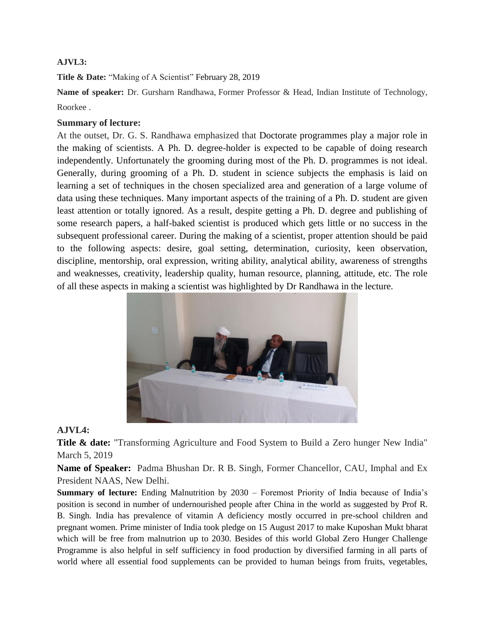#### **AJVL3:**

**Title & Date:** "Making of A Scientist" February 28, 2019

**Name of speaker:** Dr. Gursharn Randhawa, Former Professor & Head, Indian Institute of Technology, Roorkee .

## **Summary of lecture:**

At the outset, Dr. G. S. Randhawa emphasized that Doctorate programmes play a major role in the making of scientists. A Ph. D. degree-holder is expected to be capable of doing research independently. Unfortunately the grooming during most of the Ph. D. programmes is not ideal. Generally, during grooming of a Ph. D. student in science subjects the emphasis is laid on learning a set of techniques in the chosen specialized area and generation of a large volume of data using these techniques. Many important aspects of the training of a Ph. D. student are given least attention or totally ignored. As a result, despite getting a Ph. D. degree and publishing of some research papers, a half-baked scientist is produced which gets little or no success in the subsequent professional career. During the making of a scientist, proper attention should be paid to the following aspects: desire, goal setting, determination, curiosity, keen observation, discipline, mentorship, oral expression, writing ability, analytical ability, awareness of strengths and weaknesses, creativity, leadership quality, human resource, planning, attitude, etc. The role of all these aspects in making a scientist was highlighted by Dr Randhawa in the lecture.



## **AJVL4:**

**Title & date:** "Transforming Agriculture and Food System to Build a Zero hunger New India" March 5, 2019

**Name of Speaker:** Padma Bhushan Dr. R B. Singh, Former Chancellor, CAU, Imphal and Ex President NAAS, New Delhi.

**Summary of lecture:** Ending Malnutrition by 2030 – Foremost Priority of India because of India's position is second in number of undernourished people after China in the world as suggested by Prof R. B. Singh. India has prevalence of vitamin A deficiency mostly occurred in pre-school children and pregnant women. Prime minister of India took pledge on 15 August 2017 to make Kuposhan Mukt bharat which will be free from malnutrion up to 2030. Besides of this world Global Zero Hunger Challenge Programme is also helpful in self sufficiency in food production by diversified farming in all parts of world where all essential food supplements can be provided to human beings from fruits, vegetables,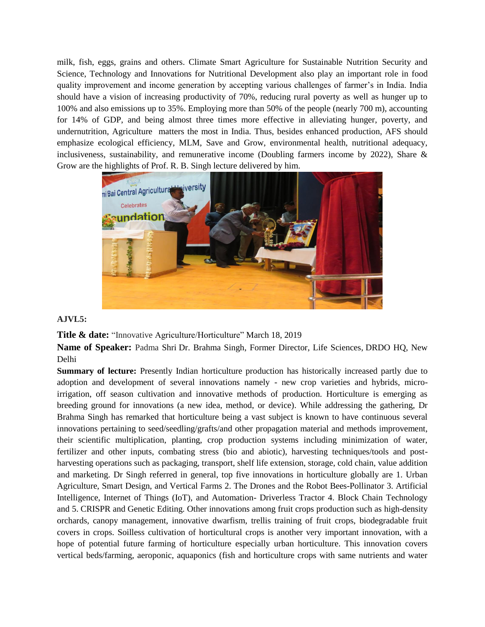milk, fish, eggs, grains and others. Climate Smart Agriculture for Sustainable Nutrition Security and Science, Technology and Innovations for Nutritional Development also play an important role in food quality improvement and income generation by accepting various challenges of farmer's in India. India should have a vision of increasing productivity of 70%, reducing rural poverty as well as hunger up to 100% and also emissions up to 35%. Employing more than 50% of the people (nearly 700 m), accounting for 14% of GDP, and being almost three times more effective in alleviating hunger, poverty, and undernutrition, Agriculture matters the most in India. Thus, besides enhanced production, AFS should emphasize ecological efficiency, MLM, Save and Grow, environmental health, nutritional adequacy, inclusiveness, sustainability, and remunerative income (Doubling farmers income by 2022), Share  $\&$ Grow are the highlights of Prof. R. B. Singh lecture delivered by him.



#### **AJVL5:**

Title & date: "Innovative Agriculture/Horticulture" March 18, 2019

**Name of Speaker:** Padma Shri Dr. Brahma Singh, Former Director, Life Sciences, DRDO HQ, New Delhi

**Summary of lecture:** Presently Indian horticulture production has historically increased partly due to adoption and development of several innovations namely - new crop varieties and hybrids, microirrigation, off season cultivation and innovative methods of production. Horticulture is emerging as breeding ground for innovations (a new idea, method, or device). While addressing the gathering, Dr Brahma Singh has remarked that horticulture being a vast subject is known to have continuous several innovations pertaining to seed/seedling/grafts/and other propagation material and methods improvement, their scientific multiplication, planting, crop production systems including minimization of water, fertilizer and other inputs, combating stress (bio and abiotic), harvesting techniques/tools and postharvesting operations such as packaging, transport, shelf life extension, storage, cold chain, value addition and marketing. Dr Singh referred in general, top five innovations in horticulture globally are 1. Urban Agriculture, Smart Design, and Vertical Farms 2. The Drones and the Robot Bees-Pollinator 3. Artificial Intelligence, Internet of Things (IoT), and Automation- Driverless Tractor 4. Block Chain Technology and 5. CRISPR and Genetic Editing. Other innovations among fruit crops production such as high-density orchards, canopy management, innovative dwarfism, trellis training of fruit crops, biodegradable fruit covers in crops. Soilless cultivation of horticultural crops is another very important innovation, with a hope of potential future farming of horticulture especially urban horticulture. This innovation covers vertical beds/farming, aeroponic, aquaponics (fish and horticulture crops with same nutrients and water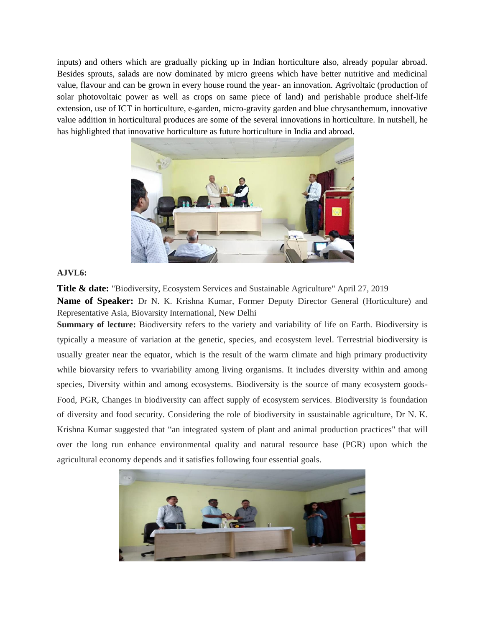inputs) and others which are gradually picking up in Indian horticulture also, already popular abroad. Besides sprouts, salads are now dominated by micro greens which have better nutritive and medicinal value, flavour and can be grown in every house round the year- an innovation. Agrivoltaic (production of solar photovoltaic power as well as crops on same piece of land) and perishable produce shelf-life extension, use of ICT in horticulture, e-garden, micro-gravity garden and blue chrysanthemum, innovative value addition in horticultural produces are some of the several innovations in horticulture. In nutshell, he has highlighted that innovative horticulture as future horticulture in India and abroad.



#### **AJVL6:**

**Title & date:** "Biodiversity, Ecosystem Services and Sustainable Agriculture" April 27, 2019 **Name of Speaker:** Dr N. K. Krishna Kumar, Former Deputy Director General (Horticulture) and Representative Asia, Biovarsity International, New Delhi

**Summary of lecture:** Biodiversity refers to the variety and variability of life on Earth. Biodiversity is typically a measure of variation at the genetic, species, and ecosystem level. Terrestrial biodiversity is usually greater near the equator, which is the result of the warm climate and high primary productivity while biovarsity refers to vvariability among living organisms. It includes diversity within and among species, Diversity within and among ecosystems. Biodiversity is the source of many ecosystem goods-Food, PGR, Changes in biodiversity can affect supply of ecosystem services. Biodiversity is foundation of diversity and food security. Considering the role of biodiversity in ssustainable agriculture, Dr N. K. Krishna Kumar suggested that "an integrated system of plant and animal production practices" that will over the long run enhance environmental quality and natural resource base (PGR) upon which the agricultural economy depends and it satisfies following four essential goals.

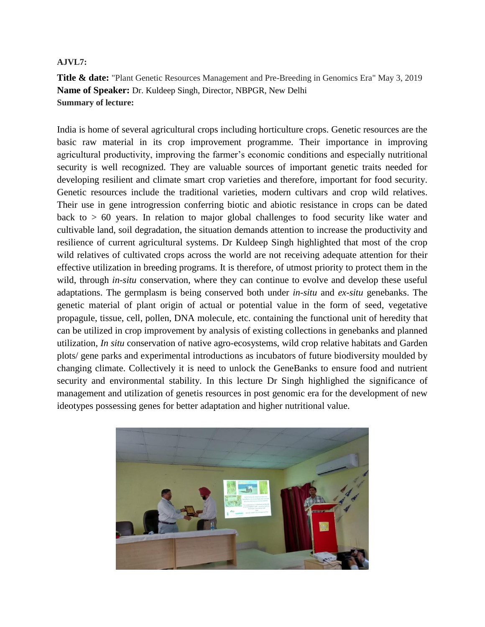#### **AJVL7:**

**Title & date:** "Plant Genetic Resources Management and Pre-Breeding in Genomics Era" May 3, 2019 **Name of Speaker:** Dr. Kuldeep Singh, Director, NBPGR, New Delhi **Summary of lecture:**

India is home of several agricultural crops including horticulture crops. Genetic resources are the basic raw material in its crop improvement programme. Their importance in improving agricultural productivity, improving the farmer's economic conditions and especially nutritional security is well recognized. They are valuable sources of important genetic traits needed for developing resilient and climate smart crop varieties and therefore, important for food security. Genetic resources include the traditional varieties, modern cultivars and crop wild relatives. Their use in gene introgression conferring biotic and abiotic resistance in crops can be dated back to  $> 60$  years. In relation to major global challenges to food security like water and cultivable land, soil degradation, the situation demands attention to increase the productivity and resilience of current agricultural systems. Dr Kuldeep Singh highlighted that most of the crop wild relatives of cultivated crops across the world are not receiving adequate attention for their effective utilization in breeding programs. It is therefore, of utmost priority to protect them in the wild, through *in-situ* conservation, where they can continue to evolve and develop these useful adaptations. The germplasm is being conserved both under *in-situ* and *ex-situ* genebanks. The genetic material of plant origin of actual or potential value in the form of seed, vegetative propagule, tissue, cell, pollen, DNA molecule, etc. containing the functional unit of heredity that can be utilized in crop improvement by analysis of existing collections in genebanks and planned utilization, *In situ* conservation of native agro-ecosystems, wild crop relative habitats and Garden plots/ gene parks and experimental introductions as incubators of future biodiversity moulded by changing climate. Collectively it is need to unlock the GeneBanks to ensure food and nutrient security and environmental stability. In this lecture Dr Singh highlighed the significance of management and utilization of genetis resources in post genomic era for the development of new ideotypes possessing genes for better adaptation and higher nutritional value.